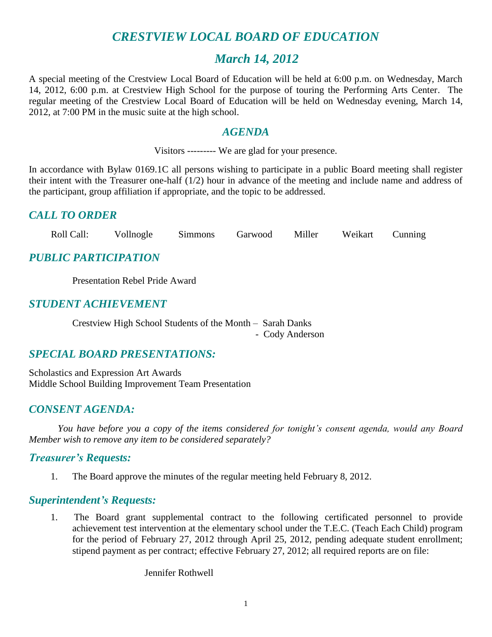## *CRESTVIEW LOCAL BOARD OF EDUCATION*

## *March 14, 2012*

A special meeting of the Crestview Local Board of Education will be held at 6:00 p.m. on Wednesday, March 14, 2012, 6:00 p.m. at Crestview High School for the purpose of touring the Performing Arts Center. The regular meeting of the Crestview Local Board of Education will be held on Wednesday evening, March 14, 2012, at 7:00 PM in the music suite at the high school.

## *AGENDA*

Visitors --------- We are glad for your presence.

In accordance with Bylaw 0169.1C all persons wishing to participate in a public Board meeting shall register their intent with the Treasurer one-half (1/2) hour in advance of the meeting and include name and address of the participant, group affiliation if appropriate, and the topic to be addressed.

## *CALL TO ORDER*

Roll Call: Vollnogle Simmons Garwood Miller Weikart Cunning

## *PUBLIC PARTICIPATION*

Presentation Rebel Pride Award

## *STUDENT ACHIEVEMENT*

Crestview High School Students of the Month – Sarah Danks - Cody Anderson

## *SPECIAL BOARD PRESENTATIONS:*

Scholastics and Expression Art Awards Middle School Building Improvement Team Presentation

## *CONSENT AGENDA:*

*You have before you a copy of the items considered for tonight's consent agenda, would any Board Member wish to remove any item to be considered separately?*

### *Treasurer's Requests:*

1. The Board approve the minutes of the regular meeting held February 8, 2012.

### *Superintendent's Requests:*

1. The Board grant supplemental contract to the following certificated personnel to provide achievement test intervention at the elementary school under the T.E.C. (Teach Each Child) program for the period of February 27, 2012 through April 25, 2012, pending adequate student enrollment; stipend payment as per contract; effective February 27, 2012; all required reports are on file:

Jennifer Rothwell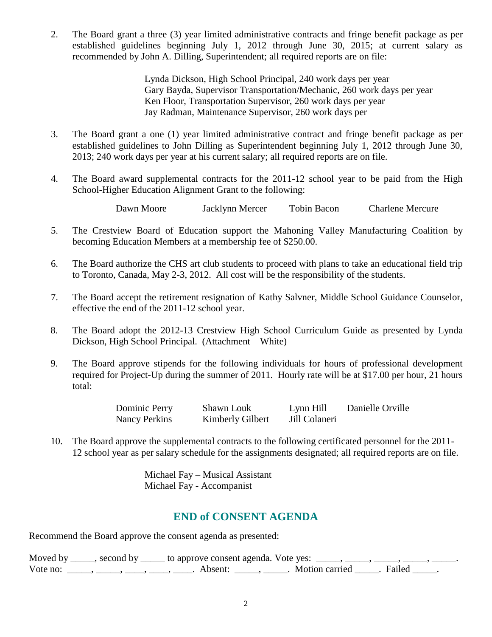2. The Board grant a three (3) year limited administrative contracts and fringe benefit package as per established guidelines beginning July 1, 2012 through June 30, 2015; at current salary as recommended by John A. Dilling, Superintendent; all required reports are on file:

> Lynda Dickson, High School Principal, 240 work days per year Gary Bayda, Supervisor Transportation/Mechanic, 260 work days per year Ken Floor, Transportation Supervisor, 260 work days per year Jay Radman, Maintenance Supervisor, 260 work days per

- 3. The Board grant a one (1) year limited administrative contract and fringe benefit package as per established guidelines to John Dilling as Superintendent beginning July 1, 2012 through June 30, 2013; 240 work days per year at his current salary; all required reports are on file.
- 4. The Board award supplemental contracts for the 2011-12 school year to be paid from the High School-Higher Education Alignment Grant to the following:

Dawn Moore Jacklynn Mercer Tobin Bacon Charlene Mercure

- 5. The Crestview Board of Education support the Mahoning Valley Manufacturing Coalition by becoming Education Members at a membership fee of \$250.00.
- 6. The Board authorize the CHS art club students to proceed with plans to take an educational field trip to Toronto, Canada, May 2-3, 2012. All cost will be the responsibility of the students.
- 7. The Board accept the retirement resignation of Kathy Salvner, Middle School Guidance Counselor, effective the end of the 2011-12 school year.
- 8. The Board adopt the 2012-13 Crestview High School Curriculum Guide as presented by Lynda Dickson, High School Principal. (Attachment – White)
- 9. The Board approve stipends for the following individuals for hours of professional development required for Project-Up during the summer of 2011. Hourly rate will be at \$17.00 per hour, 21 hours total:

Dominic Perry Shawn Louk Lynn Hill Danielle Orville Nancy Perkins Kimberly Gilbert Jill Colaneri

10. The Board approve the supplemental contracts to the following certificated personnel for the 2011- 12 school year as per salary schedule for the assignments designated; all required reports are on file.

> Michael Fay – Musical Assistant Michael Fay - Accompanist

## **END of CONSENT AGENDA**

Recommend the Board approve the consent agenda as presented:

|          | Moved by _____, second by _____ to approve consent agenda. Vote yes: _____, |                           |  |
|----------|-----------------------------------------------------------------------------|---------------------------|--|
| Vote no: | Absent <sup>.</sup>                                                         | . Motion carried . Failed |  |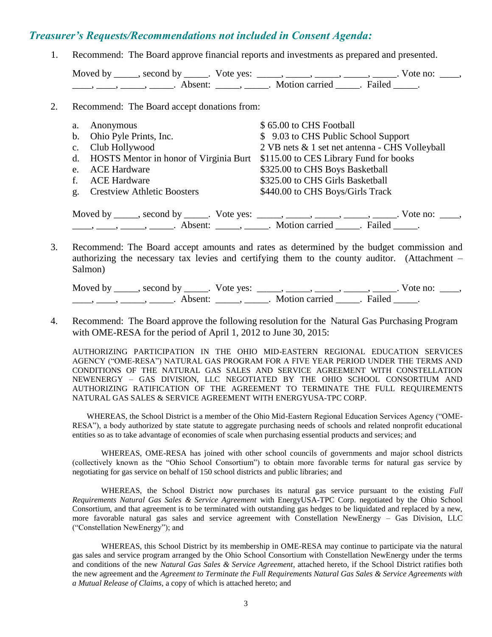#### *Treasurer's Requests/Recommendations not included in Consent Agenda:*

1. Recommend: The Board approve financial reports and investments as prepared and presented.

Moved by \_\_\_\_\_, second by \_\_\_\_\_. Vote yes: \_\_\_\_\_, \_\_\_\_\_, \_\_\_\_\_, \_\_\_\_\_, \_\_\_\_\_. Vote no: \_\_\_\_,  $\frac{1}{\sqrt{2}}$ ,  $\frac{1}{\sqrt{2}}$ ,  $\frac{1}{\sqrt{2}}$ ,  $\frac{1}{\sqrt{2}}$ ,  $\frac{1}{\sqrt{2}}$ ,  $\frac{1}{\sqrt{2}}$ ,  $\frac{1}{\sqrt{2}}$ ,  $\frac{1}{\sqrt{2}}$ ,  $\frac{1}{\sqrt{2}}$ ,  $\frac{1}{\sqrt{2}}$ ,  $\frac{1}{\sqrt{2}}$ ,  $\frac{1}{\sqrt{2}}$ ,  $\frac{1}{\sqrt{2}}$ ,  $\frac{1}{\sqrt{2}}$ ,  $\frac{1}{\sqrt{2}}$ ,  $\frac{1}{\sqrt{2}}$ 

2. Recommend: The Board accept donations from:

| а. | Anonymous                                 | \$65.00 to CHS Football                        |  |  |
|----|-------------------------------------------|------------------------------------------------|--|--|
|    | b. Ohio Pyle Prints, Inc.                 | \$ 9.03 to CHS Public School Support           |  |  |
|    | c. Club Hollywood                         | 2 VB nets & 1 set net antenna - CHS Volleyball |  |  |
|    | d. HOSTS Mentor in honor of Virginia Burt | \$115.00 to CES Library Fund for books         |  |  |
| e. | <b>ACE Hardware</b>                       | \$325.00 to CHS Boys Basketball                |  |  |
| f. | <b>ACE Hardware</b>                       | \$325.00 to CHS Girls Basketball               |  |  |
| g. | <b>Crestview Athletic Boosters</b>        | \$440.00 to CHS Boys/Girls Track               |  |  |
|    |                                           |                                                |  |  |
|    | Moved by second by<br>Vote ves:           | Vote no <sup>.</sup>                           |  |  |

Moved by \_\_\_\_\_, second by \_\_\_\_\_. Vote yes:  $\frac{1}{\sqrt{2}}$ , \_\_\_\_, \_\_\_\_, \_\_\_\_, \_\_\_\_, Wote no: \_\_\_,  $\longrightarrow$   $\longrightarrow$   $\longrightarrow$  Absent:  $\boxed{\qquad}$ , Motion carried  $\boxed{\qquad}$ . Failed  $\boxed{\qquad}$ .

3. Recommend: The Board accept amounts and rates as determined by the budget commission and authorizing the necessary tax levies and certifying them to the county auditor. (Attachment – Salmon)

Moved by \_\_\_\_\_, second by \_\_\_\_\_. Vote yes:  $\_\_\_\_\_\_\_\_\_\_\_\_\_\_\_$  \_\_\_\_\_, \_\_\_\_\_, \_\_\_\_\_. Vote no:  $\_\_\_\_\_\_\$ \_\_\_\_\_, \_\_\_\_\_\_, \_\_\_\_\_\_\_. Absent: \_\_\_\_\_\_, \_\_\_\_\_\_. Motion carried \_\_\_\_\_\_. Failed \_\_\_\_\_.

4. Recommend: The Board approve the following resolution for the Natural Gas Purchasing Program with OME-RESA for the period of April 1, 2012 to June 30, 2015:

AUTHORIZING PARTICIPATION IN THE OHIO MID-EASTERN REGIONAL EDUCATION SERVICES AGENCY ("OME-RESA") NATURAL GAS PROGRAM FOR A FIVE YEAR PERIOD UNDER THE TERMS AND CONDITIONS OF THE NATURAL GAS SALES AND SERVICE AGREEMENT WITH CONSTELLATION NEWENERGY – GAS DIVISION, LLC NEGOTIATED BY THE OHIO SCHOOL CONSORTIUM AND AUTHORIZING RATIFICATION OF THE AGREEMENT TO TERMINATE THE FULL REQUIREMENTS NATURAL GAS SALES & SERVICE AGREEMENT WITH ENERGYUSA-TPC CORP.

WHEREAS, the School District is a member of the Ohio Mid-Eastern Regional Education Services Agency ("OME-RESA"), a body authorized by state statute to aggregate purchasing needs of schools and related nonprofit educational entities so as to take advantage of economies of scale when purchasing essential products and services; and

WHEREAS, OME-RESA has joined with other school councils of governments and major school districts (collectively known as the "Ohio School Consortium") to obtain more favorable terms for natural gas service by negotiating for gas service on behalf of 150 school districts and public libraries; and

WHEREAS, the School District now purchases its natural gas service pursuant to the existing *Full Requirements Natural Gas Sales & Service Agreement* with EnergyUSA-TPC Corp. negotiated by the Ohio School Consortium, and that agreement is to be terminated with outstanding gas hedges to be liquidated and replaced by a new, more favorable natural gas sales and service agreement with Constellation NewEnergy – Gas Division, LLC ("Constellation NewEnergy"); and

WHEREAS, this School District by its membership in OME-RESA may continue to participate via the natural gas sales and service program arranged by the Ohio School Consortium with Constellation NewEnergy under the terms and conditions of the new *Natural Gas Sales & Service Agreement*, attached hereto, if the School District ratifies both the new agreement and the *Agreement to Terminate the Full Requirements Natural Gas Sales & Service Agreements with a Mutual Release of Claims*, a copy of which is attached hereto; and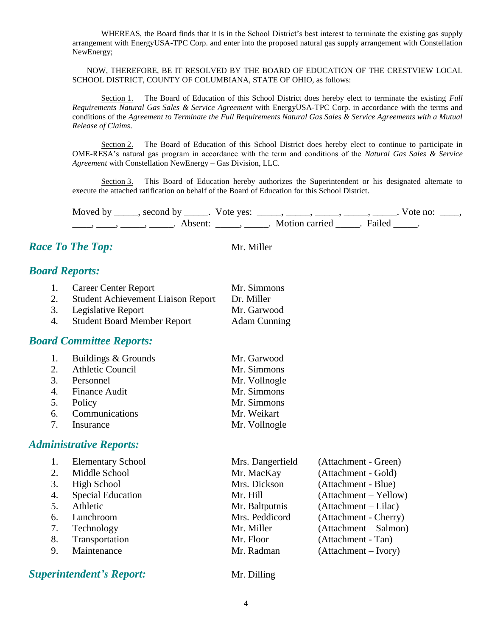WHEREAS, the Board finds that it is in the School District's best interest to terminate the existing gas supply arrangement with EnergyUSA-TPC Corp. and enter into the proposed natural gas supply arrangement with Constellation NewEnergy;

NOW, THEREFORE, BE IT RESOLVED BY THE BOARD OF EDUCATION OF THE CRESTVIEW LOCAL SCHOOL DISTRICT, COUNTY OF COLUMBIANA, STATE OF OHIO, as follows:

Section 1. The Board of Education of this School District does hereby elect to terminate the existing *Full Requirements Natural Gas Sales & Service Agreement* with EnergyUSA-TPC Corp. in accordance with the terms and conditions of the *Agreement to Terminate the Full Requirements Natural Gas Sales & Service Agreements with a Mutual Release of Claims*.

Section 2. The Board of Education of this School District does hereby elect to continue to participate in OME-RESA's natural gas program in accordance with the term and conditions of the *Natural Gas Sales & Service Agreement* with Constellation NewEnergy – Gas Division, LLC.

Section 3. This Board of Education hereby authorizes the Superintendent or his designated alternate to execute the attached ratification on behalf of the Board of Education for this School District.

Moved by \_\_\_\_\_, second by \_\_\_\_\_. Vote yes:  $\frac{1}{\sqrt{2}}$ , \_\_\_\_, \_\_\_\_, \_\_\_\_, \_\_\_\_. Vote no: \_\_\_, \_\_\_\_, \_\_\_\_\_, \_\_\_\_\_\_, Absent: \_\_\_\_\_, \_\_\_\_\_. Motion carried \_\_\_\_\_. Failed \_\_\_\_\_.

## *Race To The Top:* Mr. Miller

### *Board Reports:*

| 1. | <b>Career Center Report</b>               | Mr. Simmons         |
|----|-------------------------------------------|---------------------|
| 2. | <b>Student Achievement Liaison Report</b> | Dr. Miller          |
| 3. | Legislative Report                        | Mr. Garwood         |
| 4. | <b>Student Board Member Report</b>        | <b>Adam Cunning</b> |

### *Board Committee Reports:*

|    | 1. Buildings & Grounds | Mr. Garwood   |
|----|------------------------|---------------|
|    | 2. Athletic Council    | Mr. Simmons   |
|    | 3. Personnel           | Mr. Vollnogle |
|    | 4. Finance Audit       | Mr. Simmons   |
| 5. | Policy                 | Mr. Simmons   |
|    | 6. Communications      | Mr. Weikart   |
|    | 7. Insurance           | Mr. Vollnogle |

#### *Administrative Reports:*

|    | <b>Elementary School</b> | Mrs. Dangerfield | (Attachment - Green)   |
|----|--------------------------|------------------|------------------------|
| 2. | Middle School            | Mr. MacKay       | (Attachment - Gold)    |
| 3. | High School              | Mrs. Dickson     | (Attachment - Blue)    |
| 4. | <b>Special Education</b> | Mr. Hill         | (Attachment – Yellow)  |
|    | Athletic                 | Mr. Baltputnis   | $(Attachment - Lilac)$ |
| 6. | Lunchroom                | Mrs. Peddicord   | (Attachment - Cherry)  |
| 7. | Technology               | Mr. Miller       | (Attachment – Salmon)  |
| 8. | Transportation           | Mr. Floor        | (Attachment - Tan)     |
| 9. | Maintenance              | Mr. Radman       | (Attachment – Ivory)   |
|    |                          |                  |                        |

### *Superintendent's Report:* Mr. Dilling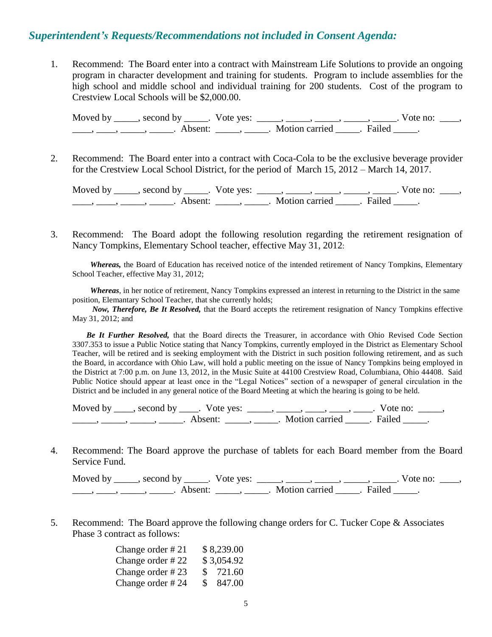#### *Superintendent's Requests/Recommendations not included in Consent Agenda:*

1. Recommend: The Board enter into a contract with Mainstream Life Solutions to provide an ongoing program in character development and training for students. Program to include assemblies for the high school and middle school and individual training for 200 students. Cost of the program to Crestview Local Schools will be \$2,000.00.

Moved by \_\_\_\_\_, second by \_\_\_\_\_. Vote yes: \_\_\_\_\_, \_\_\_\_\_, \_\_\_\_\_, \_\_\_\_\_, \_\_\_\_\_. Vote no: \_\_\_\_,  $\frac{1}{\sqrt{2\pi}}$ ,  $\frac{1}{\sqrt{2\pi}}$ ,  $\frac{1}{\sqrt{2\pi}}$ ,  $\frac{1}{\sqrt{2\pi}}$ ,  $\frac{1}{\sqrt{2\pi}}$ ,  $\frac{1}{\sqrt{2\pi}}$ ,  $\frac{1}{\sqrt{2\pi}}$ ,  $\frac{1}{\sqrt{2\pi}}$ ,  $\frac{1}{\sqrt{2\pi}}$ 

2. Recommend: The Board enter into a contract with Coca-Cola to be the exclusive beverage provider for the Crestview Local School District, for the period of March 15, 2012 – March 14, 2017.

Moved by \_\_\_\_\_, second by \_\_\_\_\_. Vote yes:  $\_\_\_\_\_\_\_\_\_\_\_\_\_\_\_$  \_\_\_\_\_, \_\_\_\_\_, \_\_\_\_\_. Vote no:  $\_\_\_\_\_\_\$ \_\_\_\_\_, \_\_\_\_\_\_, \_\_\_\_\_\_\_. Absent: \_\_\_\_\_\_, \_\_\_\_\_\_. Motion carried \_\_\_\_\_\_. Failed \_\_\_\_\_.

3. Recommend: The Board adopt the following resolution regarding the retirement resignation of Nancy Tompkins, Elementary School teacher, effective May 31, 2012:

*Whereas,* the Board of Education has received notice of the intended retirement of Nancy Tompkins, Elementary School Teacher, effective May 31, 2012;

*Whereas*, in her notice of retirement, Nancy Tompkins expressed an interest in returning to the District in the same position, Elemantary School Teacher, that she currently holds;

*Now, Therefore, Be It Resolved,* that the Board accepts the retirement resignation of Nancy Tompkins effective May 31, 2012; and

 *Be It Further Resolved,* that the Board directs the Treasurer, in accordance with Ohio Revised Code Section 3307.353 to issue a Public Notice stating that Nancy Tompkins, currently employed in the District as Elementary School Teacher, will be retired and is seeking employment with the District in such position following retirement, and as such the Board, in accordance with Ohio Law, will hold a public meeting on the issue of Nancy Tompkins being employed in the District at 7:00 p.m. on June 13, 2012, in the Music Suite at 44100 Crestview Road, Columbiana, Ohio 44408. Said Public Notice should appear at least once in the "Legal Notices" section of a newspaper of general circulation in the District and be included in any general notice of the Board Meeting at which the hearing is going to be held.

Moved by  $\_\_\_\_$ , second by  $\_\_\_\_$ . Vote yes:  $\_\_\_\_\_\_\_\_\_\_\_\_\_\_$ ,  $\_\_\_\_\_\_\_\_\_\_\_\_\_\_\_\_$ . Vote no:  $\_\_\_\_\_\_\_\$ \_\_\_\_\_\_\_, \_\_\_\_\_\_, \_\_\_\_\_\_\_. Absent: \_\_\_\_\_\_, \_\_\_\_\_\_. Motion carried \_\_\_\_\_\_. Failed \_\_\_\_\_.

4. Recommend: The Board approve the purchase of tablets for each Board member from the Board Service Fund.

Moved by \_\_\_\_\_, second by \_\_\_\_\_. Vote yes:  $\_\_\_\_\_\_\_\_\_\_\_\_\_\_\_$  \_\_\_\_\_, \_\_\_\_\_, \_\_\_\_\_. Vote no:  $\_\_\_\_\_\_\$ \_\_\_\_\_, \_\_\_\_\_\_, \_\_\_\_\_\_\_. Absent: \_\_\_\_\_\_, \_\_\_\_\_\_. Motion carried \_\_\_\_\_\_. Failed \_\_\_\_\_.

5. Recommend: The Board approve the following change orders for C. Tucker Cope & Associates Phase 3 contract as follows:

| Change order #21 | \$8,239.00    |
|------------------|---------------|
| Change order #22 | \$3,054.92    |
| Change order #23 | \$721.60      |
| Change order #24 | 847.00<br>SS. |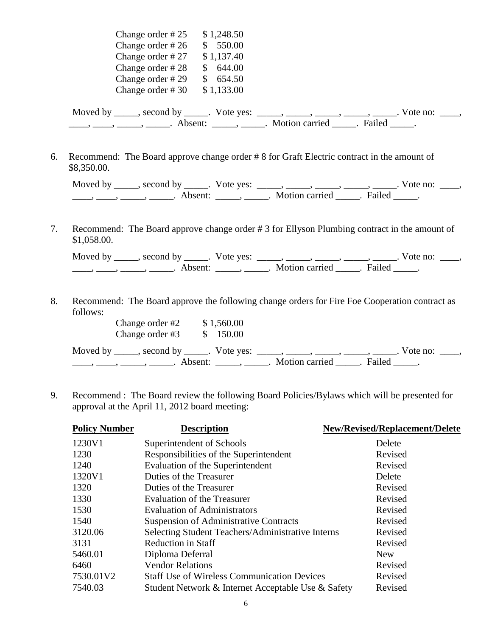| Change order #25                                                             | \$1,248.50 |                |                   |
|------------------------------------------------------------------------------|------------|----------------|-------------------|
| Change order $#26$                                                           | 550.00     |                |                   |
| Change order #27                                                             | \$1,137.40 |                |                   |
| Change order #28                                                             | 644.00     |                |                   |
| Change order #29                                                             | 654.50     |                |                   |
| Change order #30                                                             | \$1,133.00 |                |                   |
| Moved by ______, second by ______. Vote yes: ______, ______, ______, ______, |            |                | Vote no: $\_\_$ . |
|                                                                              | Absent:    | Motion carried | Failed            |

6. Recommend: The Board approve change order # 8 for Graft Electric contract in the amount of \$8,350.00.

| Moved by | second by | Vote yes: |                |        | vote no: |  |
|----------|-----------|-----------|----------------|--------|----------|--|
|          |           |           | Motion carried | Failed |          |  |

7. Recommend: The Board approve change order # 3 for Ellyson Plumbing contract in the amount of \$1,058.00.

| Moved by | second by           | Vote ves: |                |        | vote no: |  |
|----------|---------------------|-----------|----------------|--------|----------|--|
|          | Absent <sup>.</sup> |           | Motion carried | Failed |          |  |

8. Recommend: The Board approve the following change orders for Fire Foe Cooperation contract as follows:

| Change order #2                                                                    | \$1,560.00                         |                       |  |                            |  |
|------------------------------------------------------------------------------------|------------------------------------|-----------------------|--|----------------------------|--|
| Change order #3                                                                    | \$150.00                           |                       |  |                            |  |
| Moved by ______, second by ______. Vote yes: ______, ______, ______, ______, _____ |                                    |                       |  | Vote no: $\qquad \qquad$ . |  |
|                                                                                    | Absent: $\qquad \qquad$ , $\qquad$ | Motion carried Failed |  |                            |  |

9. Recommend : The Board review the following Board Policies/Bylaws which will be presented for approval at the April 11, 2012 board meeting:

| <b>Policy Number</b> | <b>Description</b>                                 | <b>New/Revised/Replacement/Delete</b> |
|----------------------|----------------------------------------------------|---------------------------------------|
| 1230V1               | Superintendent of Schools                          | Delete                                |
| 1230                 | Responsibilities of the Superintendent             | Revised                               |
| 1240                 | Evaluation of the Superintendent                   | Revised                               |
| 1320V1               | Duties of the Treasurer                            | Delete                                |
| 1320                 | Duties of the Treasurer                            | Revised                               |
| 1330                 | <b>Evaluation of the Treasurer</b>                 | Revised                               |
| 1530                 | <b>Evaluation of Administrators</b>                | Revised                               |
| 1540                 | <b>Suspension of Administrative Contracts</b>      | Revised                               |
| 3120.06              | Selecting Student Teachers/Administrative Interns  | Revised                               |
| 3131                 | <b>Reduction in Staff</b>                          | Revised                               |
| 5460.01              | Diploma Deferral                                   | <b>New</b>                            |
| 6460                 | <b>Vendor Relations</b>                            | Revised                               |
| 7530.01V2            | <b>Staff Use of Wireless Communication Devices</b> | Revised                               |
| 7540.03              | Student Network & Internet Acceptable Use & Safety | Revised                               |
|                      |                                                    |                                       |